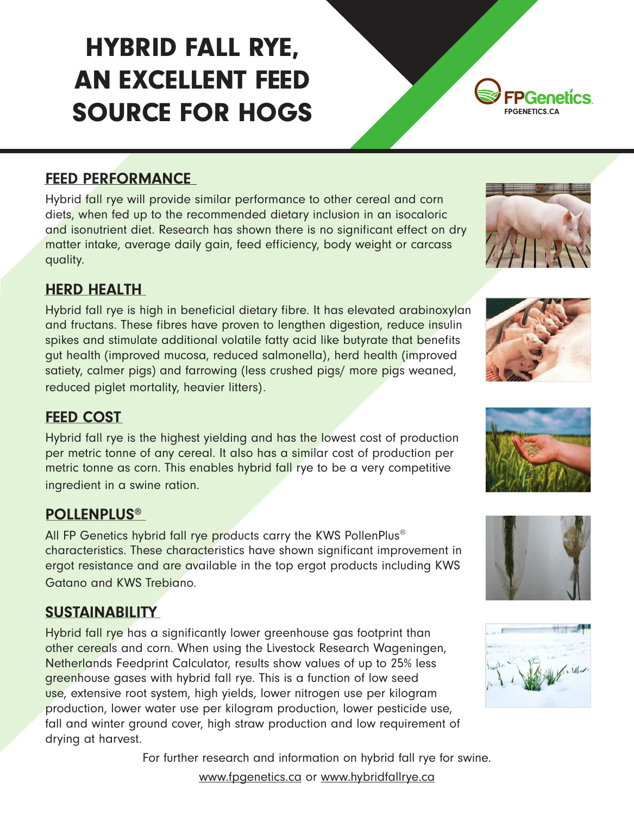# HYBRID FALL RYE, AN EXCELLENT FEED SOURCE FOR HOGS FPGENETICS.CA



Hybrid fall rye will provide similar performance to other cereal and corn diets, when fed up to the recommended dietary inclusion in an isocaloric and isonutrient diet. Research has shown there is no significant effect on dry matter intake, average daily gain, feed efficiency, body weight or carcass quality.

### HERD HEALTH

Hybrid fall rye is high in beneficial dietary fibre. It has elevated arabinoxylan and fructans. These fibres have proven to lengthen digestion, reduce insulin spikes and stimulate additional volatile fatty acid like butyrate that benefits gut health (improved mucosa, reduced salmonella), herd health (improved satiety, calmer pigs) and farrowing (less crushed pigs/ more pigs weaned, reduced piglet mortality, heavier litters).

#### FEED COST

Hybrid fall rye is the highest yielding and has the lowest cost of production per metric tonne of any cereal. It also has a similar cost of production per metric tonne as corn. This enables hybrid fall rye to be a very competitive ingredient in a swine ration.

#### POLLENPLUS®

All FP Genetics hybrid fall rye products carry the KWS PollenPlus<sup>®</sup> characteristics. These characteristics have shown significant improvement in ergot resistance and are available in the top ergot products including KWS Gatano and KWS Trebiano.

#### **SUSTAINABILITY**

Hybrid fall rye has a significantly lower greenhouse gas footprint than other cereals and corn. When using the Livestock Research Wageningen, Netherlands Feedprint Calculator, results show values of up to 25% less greenhouse gases with hybrid fall rye. This is a function of low seed use, extensive root system, high yields, lower nitrogen use per kilogram production, lower water use per kilogram production, lower pesticide use, fall and winter ground cover, high straw production and low requirement of drying at harvest.

For further research and information on hybrid fall rye for swine.

www.fpgenetics.ca or www.hybridfallrye.ca